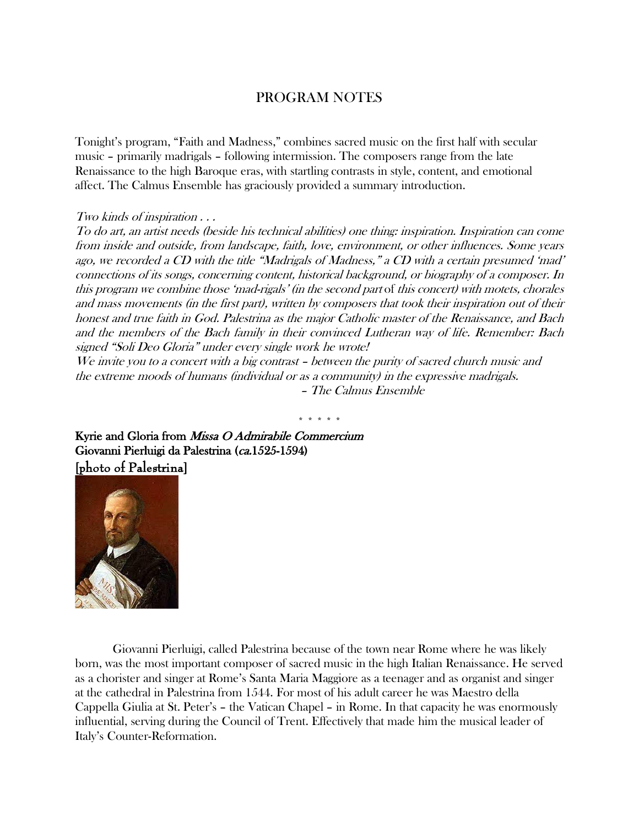## PROGRAM NOTES

Tonight's program, "Faith and Madness," combines sacred music on the first half with secular music – primarily madrigals – following intermission. The composers range from the late Renaissance to the high Baroque eras, with startling contrasts in style, content, and emotional affect. The Calmus Ensemble has graciously provided a summary introduction.

## Two kinds of inspiration . . .

To do art, an artist needs (beside his technical abilities) one thing: inspiration. Inspiration can come from inside and outside, from landscape, faith, love, environment, or other influences. Some years ago, we recorded a CD with the title "Madrigals of Madness," a CD with a certain presumed 'mad' connections of its songs, concerning content, historical background, or biography of a composer. In this program we combine those 'mad-rigals' (in the second part of this concert) with motets, chorales and mass movements (in the first part), written by composers that took their inspiration out of their honest and true faith in God. Palestrina as the major Catholic master of the Renaissance, and Bach and the members of the Bach family in their convinced Lutheran way of life. Remember: Bach signed "Soli Deo Gloria" under every single work he wrote!

We invite you to a concert with a big contrast – between the purity of sacred church music and the extreme moods of humans (individual or as a community) in the expressive madrigals. – The Calmus Ensemble

\* \* \* \* \*

Kyrie and Gloria from Missa O Admirabile Commercium Giovanni Pierluigi da Palestrina (ca.1525-1594) [photo of Palestrina]



Giovanni Pierluigi, called Palestrina because of the town near Rome where he was likely born, was the most important composer of sacred music in the high Italian Renaissance. He served as a chorister and singer at Rome's Santa Maria Maggiore as a teenager and as organist and singer at the cathedral in Palestrina from 1544. For most of his adult career he was Maestro della Cappella Giulia at St. Peter's – the Vatican Chapel – in Rome. In that capacity he was enormously influential, serving during the Council of Trent. Effectively that made him the musical leader of Italy's Counter-Reformation.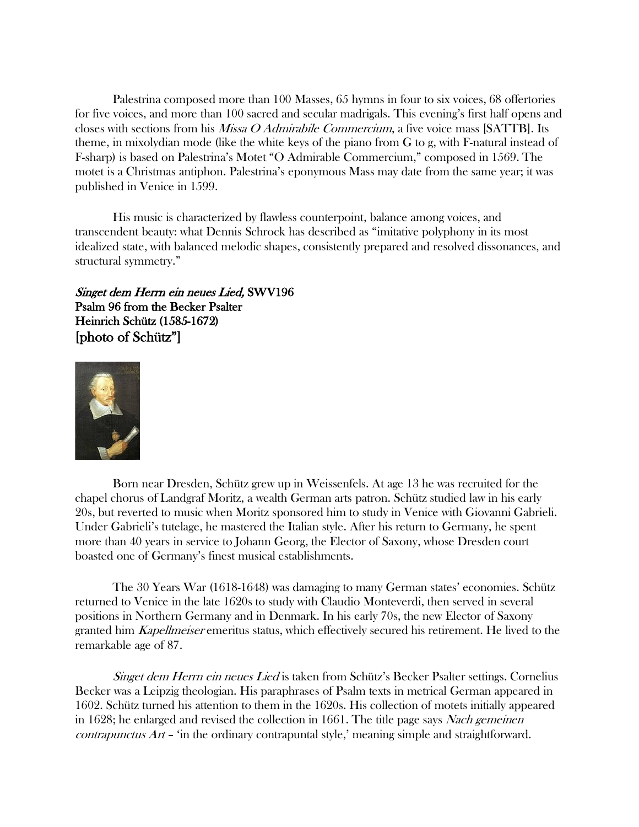Palestrina composed more than 100 Masses, 65 hymns in four to six voices, 68 offertories for five voices, and more than 100 sacred and secular madrigals. This evening's first half opens and closes with sections from his *Missa O Admirabile Commercium*, a five voice mass [SATTB]. Its theme, in mixolydian mode (like the white keys of the piano from G to g, with F-natural instead of F-sharp) is based on Palestrina's Motet "O Admirable Commercium," composed in 1569. The motet is a Christmas antiphon. Palestrina's eponymous Mass may date from the same year; it was published in Venice in 1599.

His music is characterized by flawless counterpoint, balance among voices, and transcendent beauty: what Dennis Schrock has described as "imitative polyphony in its most idealized state, with balanced melodic shapes, consistently prepared and resolved dissonances, and structural symmetry."

Singet dem Herrn ein neues Lied, SWV196 Psalm 96 from the Becker Psalter Heinrich Schütz (1585-1672) [photo of Schütz"]



Born near Dresden, Schütz grew up in Weissenfels. At age 13 he was recruited for the chapel chorus of Landgraf Moritz, a wealth German arts patron. Schütz studied law in his early 20s, but reverted to music when Moritz sponsored him to study in Venice with Giovanni Gabrieli. Under Gabrieli's tutelage, he mastered the Italian style. After his return to Germany, he spent more than 40 years in service to Johann Georg, the Elector of Saxony, whose Dresden court boasted one of Germany's finest musical establishments.

The 30 Years War (1618-1648) was damaging to many German states' economies. Schütz returned to Venice in the late 1620s to study with Claudio Monteverdi, then served in several positions in Northern Germany and in Denmark. In his early 70s, the new Elector of Saxony granted him *Kapellmeiser* emeritus status, which effectively secured his retirement. He lived to the remarkable age of 87.

Singet dem Herrn ein neues Lied is taken from Schütz's Becker Psalter settings. Cornelius Becker was a Leipzig theologian. His paraphrases of Psalm texts in metrical German appeared in 1602. Schütz turned his attention to them in the 1620s. His collection of motets initially appeared in 1628; he enlarged and revised the collection in 1661. The title page says *Nach gemeinen* contrapunctus Art – 'in the ordinary contrapuntal style,' meaning simple and straightforward.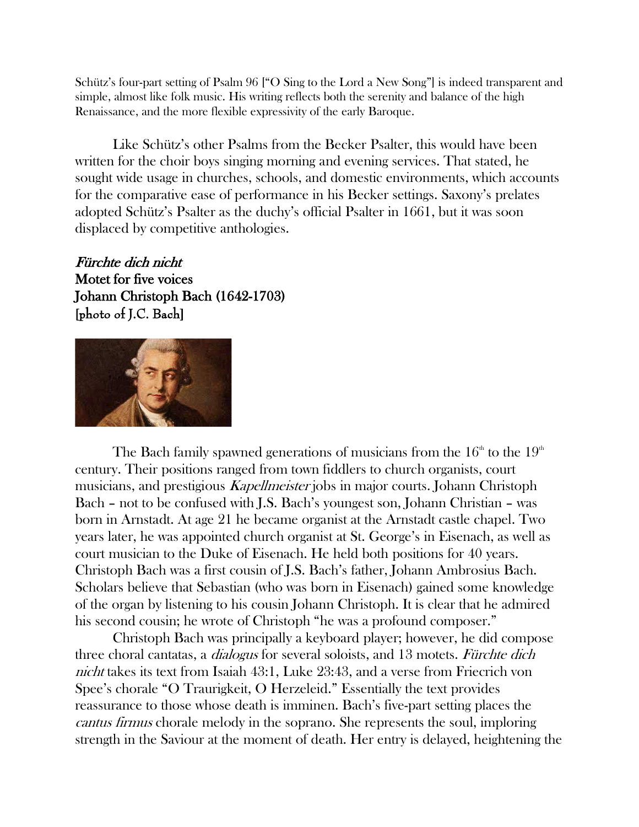Schütz's four-part setting of Psalm 96 ["O Sing to the Lord a New Song"] is indeed transparent and simple, almost like folk music. His writing reflects both the serenity and balance of the high Renaissance, and the more flexible expressivity of the early Baroque.

Like Schütz's other Psalms from the Becker Psalter, this would have been written for the choir boys singing morning and evening services. That stated, he sought wide usage in churches, schools, and domestic environments, which accounts for the comparative ease of performance in his Becker settings. Saxony's prelates adopted Schütz's Psalter as the duchy's official Psalter in 1661, but it was soon displaced by competitive anthologies.

Fürchte dich nicht Motet for five voices Johann Christoph Bach (1642-1703) [photo of J.C. Bach]



The Bach family spawned generations of musicians from the  $16<sup>th</sup>$  to the  $19<sup>th</sup>$ century. Their positions ranged from town fiddlers to church organists, court musicians, and prestigious Kapellmeister jobs in major courts. Johann Christoph Bach – not to be confused with J.S. Bach's youngest son, Johann Christian – was born in Arnstadt. At age 21 he became organist at the Arnstadt castle chapel. Two years later, he was appointed church organist at St. George's in Eisenach, as well as court musician to the Duke of Eisenach. He held both positions for 40 years. Christoph Bach was a first cousin of J.S. Bach's father, Johann Ambrosius Bach. Scholars believe that Sebastian (who was born in Eisenach) gained some knowledge of the organ by listening to his cousin Johann Christoph. It is clear that he admired his second cousin; he wrote of Christoph "he was a profound composer."

Christoph Bach was principally a keyboard player; however, he did compose three choral cantatas, a *dialogus* for several soloists, and 13 motets. Fürchte dich nicht takes its text from Isaiah 43:1, Luke 23:43, and a verse from Friecrich von Spee's chorale "O Traurigkeit, O Herzeleid." Essentially the text provides reassurance to those whose death is imminen. Bach's five-part setting places the cantus firmus chorale melody in the soprano. She represents the soul, imploring strength in the Saviour at the moment of death. Her entry is delayed, heightening the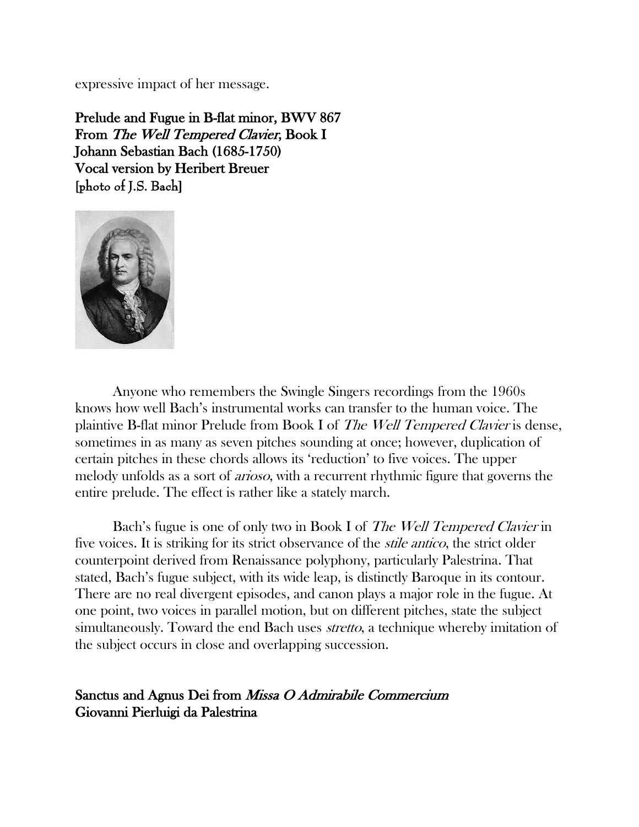expressive impact of her message.

Prelude and Fugue in B-flat minor, BWV 867 From The Well Tempered Clavier, Book I Johann Sebastian Bach (1685-1750) Vocal version by Heribert Breuer [photo of J.S. Bach]



Anyone who remembers the Swingle Singers recordings from the 1960s knows how well Bach's instrumental works can transfer to the human voice. The plaintive B-flat minor Prelude from Book I of The Well Tempered Clavier is dense, sometimes in as many as seven pitches sounding at once; however, duplication of certain pitches in these chords allows its 'reduction' to five voices. The upper melody unfolds as a sort of arioso, with a recurrent rhythmic figure that governs the entire prelude. The effect is rather like a stately march.

Bach's fugue is one of only two in Book I of *The Well Tempered Clavier* in five voices. It is striking for its strict observance of the *stile antico*, the strict older counterpoint derived from Renaissance polyphony, particularly Palestrina. That stated, Bach's fugue subject, with its wide leap, is distinctly Baroque in its contour. There are no real divergent episodes, and canon plays a major role in the fugue. At one point, two voices in parallel motion, but on different pitches, state the subject simultaneously. Toward the end Bach uses *stretto*, a technique whereby imitation of the subject occurs in close and overlapping succession.

Sanctus and Agnus Dei from Missa O Admirabile Commercium Giovanni Pierluigi da Palestrina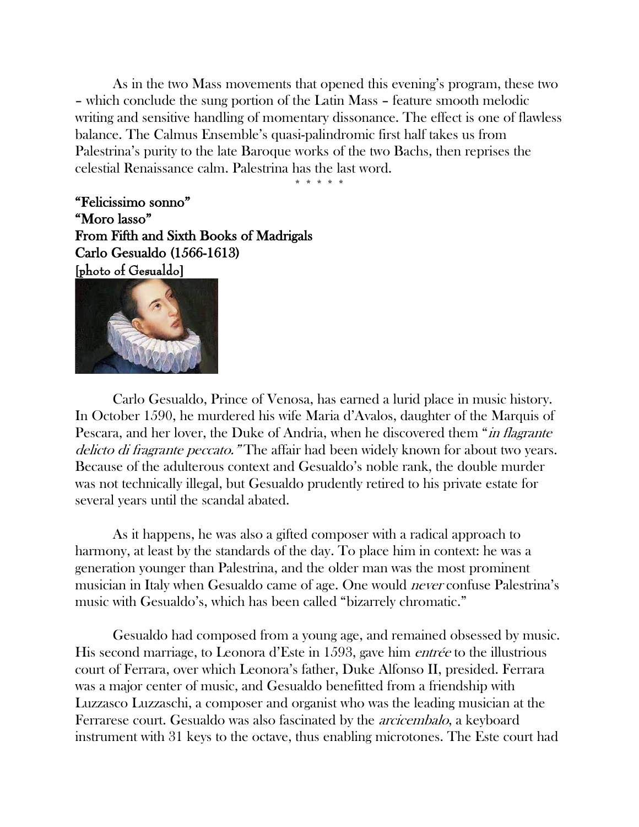As in the two Mass movements that opened this evening's program, these two – which conclude the sung portion of the Latin Mass – feature smooth melodic writing and sensitive handling of momentary dissonance. The effect is one of flawless balance. The Calmus Ensemble's quasi-palindromic first half takes us from Palestrina's purity to the late Baroque works of the two Bachs, then reprises the celestial Renaissance calm. Palestrina has the last word.

\* \* \* \* \*

"Felicissimo sonno" "Moro lasso" From Fifth and Sixth Books of Madrigals Carlo Gesualdo (1566-1613) [photo of Gesualdo]



Carlo Gesualdo, Prince of Venosa, has earned a lurid place in music history. In October 1590, he murdered his wife Maria d'Avalos, daughter of the Marquis of Pescara, and her lover, the Duke of Andria, when he discovered them "*in flagrante* delicto di fragrante peccato." The affair had been widely known for about two years. Because of the adulterous context and Gesualdo's noble rank, the double murder was not technically illegal, but Gesualdo prudently retired to his private estate for several years until the scandal abated.

As it happens, he was also a gifted composer with a radical approach to harmony, at least by the standards of the day. To place him in context: he was a generation younger than Palestrina, and the older man was the most prominent musician in Italy when Gesualdo came of age. One would never confuse Palestrina's music with Gesualdo's, which has been called "bizarrely chromatic."

Gesualdo had composed from a young age, and remained obsessed by music. His second marriage, to Leonora d'Este in 1593, gave him entrée to the illustrious court of Ferrara, over which Leonora's father, Duke Alfonso II, presided. Ferrara was a major center of music, and Gesualdo benefitted from a friendship with Luzzasco Luzzaschi, a composer and organist who was the leading musician at the Ferrarese court. Gesualdo was also fascinated by the arcicembalo, a keyboard instrument with 31 keys to the octave, thus enabling microtones. The Este court had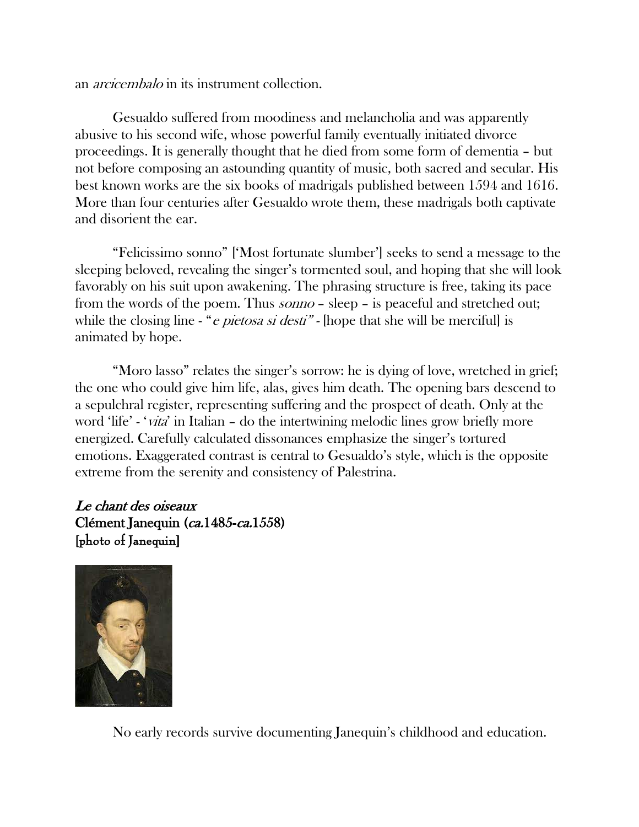an *arcicembalo* in its instrument collection.

Gesualdo suffered from moodiness and melancholia and was apparently abusive to his second wife, whose powerful family eventually initiated divorce proceedings. It is generally thought that he died from some form of dementia – but not before composing an astounding quantity of music, both sacred and secular. His best known works are the six books of madrigals published between 1594 and 1616. More than four centuries after Gesualdo wrote them, these madrigals both captivate and disorient the ear.

"Felicissimo sonno" ['Most fortunate slumber'] seeks to send a message to the sleeping beloved, revealing the singer's tormented soul, and hoping that she will look favorably on his suit upon awakening. The phrasing structure is free, taking its pace from the words of the poem. Thus *sonno* – sleep – is peaceful and stretched out; while the closing line - "*e pietosa si desti*" - [hope that she will be merciful] is animated by hope.

"Moro lasso" relates the singer's sorrow: he is dying of love, wretched in grief; the one who could give him life, alas, gives him death. The opening bars descend to a sepulchral register, representing suffering and the prospect of death. Only at the word 'life' - 'vita' in Italian – do the intertwining melodic lines grow briefly more energized. Carefully calculated dissonances emphasize the singer's tortured emotions. Exaggerated contrast is central to Gesualdo's style, which is the opposite extreme from the serenity and consistency of Palestrina.

Le chant des oiseaux Clément Janequin (ca.1485-ca.1558) [photo of Janequin]



No early records survive documenting Janequin's childhood and education.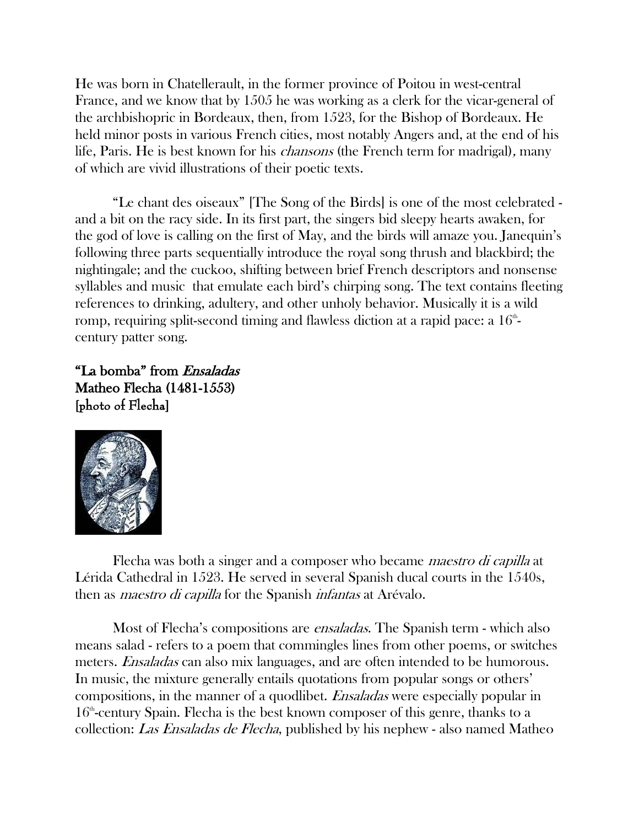He was born in Chatellerault, in the former province of Poitou in west-central France, and we know that by 1505 he was working as a clerk for the vicar-general of the archbishopric in Bordeaux, then, from 1523, for the Bishop of Bordeaux. He held minor posts in various French cities, most notably Angers and, at the end of his life, Paris. He is best known for his chansons (the French term for madrigal), many of which are vivid illustrations of their poetic texts.

"Le chant des oiseaux" [The Song of the Birds] is one of the most celebrated and a bit on the racy side. In its first part, the singers bid sleepy hearts awaken, for the god of love is calling on the first of May, and the birds will amaze you. Janequin's following three parts sequentially introduce the royal song thrush and blackbird; the nightingale; and the cuckoo, shifting between brief French descriptors and nonsense syllables and music that emulate each bird's chirping song. The text contains fleeting references to drinking, adultery, and other unholy behavior. Musically it is a wild romp, requiring split-second timing and flawless diction at a rapid pace: a  $16^{\text{\tiny th}}$ century patter song.

"La bomba" from Ensaladas Matheo Flecha (1481-1553) [photo of Flecha]



Flecha was both a singer and a composer who became maestro di capilla at Lérida Cathedral in 1523. He served in several Spanish ducal courts in the 1540s, then as *maestro di capilla* for the Spanish *infantas* at Arévalo.

Most of Flecha's compositions are *ensaladas*. The Spanish term - which also means salad - refers to a poem that commingles lines from other poems, or switches meters. *Ensaladas* can also mix languages, and are often intended to be humorous. In music, the mixture generally entails quotations from popular songs or others' compositions, in the manner of a quodlibet. Ensaladas were especially popular in  $16<sup>th</sup>$ -century Spain. Flecha is the best known composer of this genre, thanks to a collection: Las Ensaladas de Flecha, published by his nephew - also named Matheo